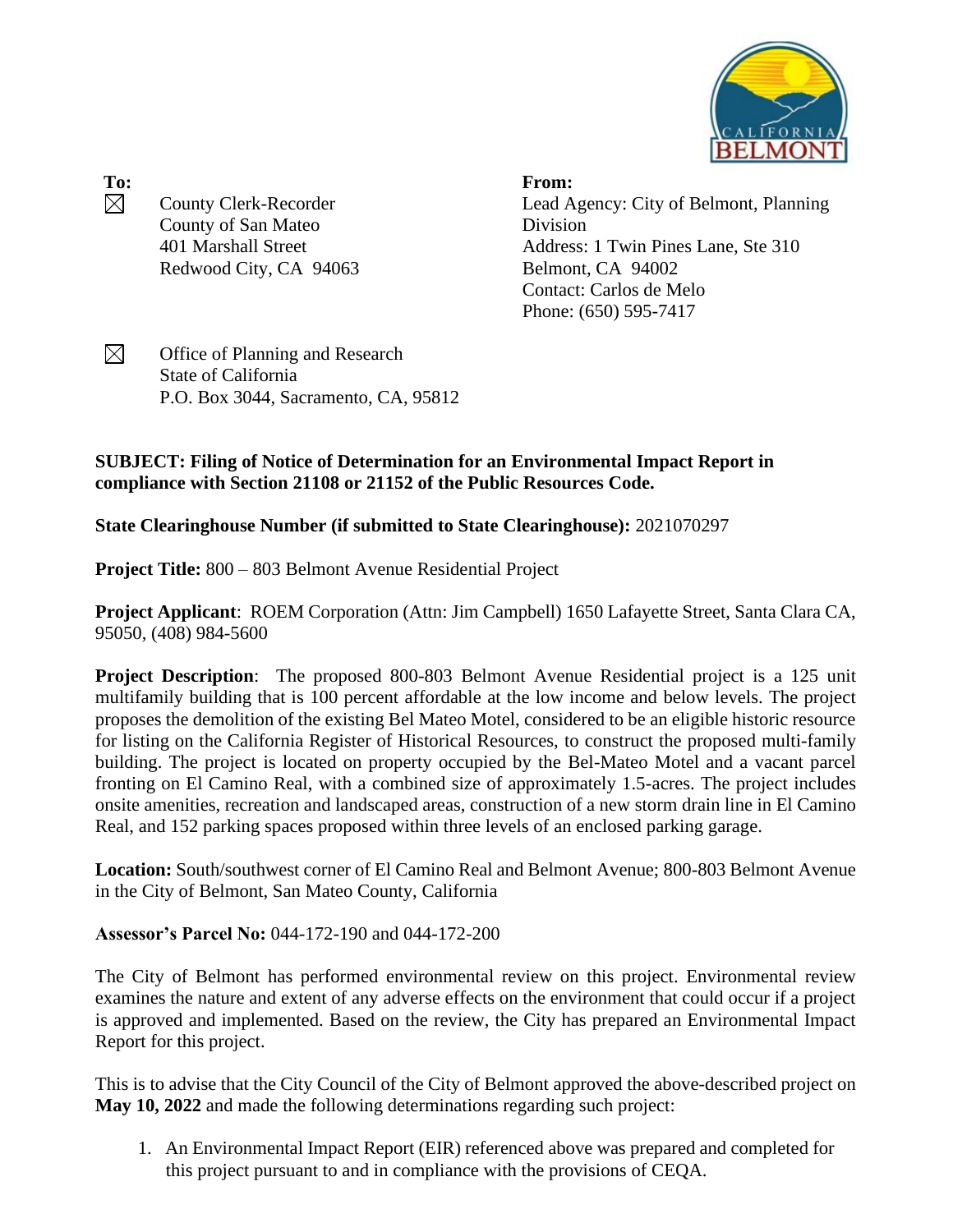

**To: From:**  $\boxtimes$ County Clerk-Recorder County of San Mateo 401 Marshall Street Redwood City, CA 94063

Lead Agency: City of Belmont, Planning Division Address: 1 Twin Pines Lane, Ste 310 Belmont, CA 94002 Contact: Carlos de Melo Phone: (650) 595-7417

 $\boxtimes$ Office of Planning and Research State of California P.O. Box 3044, Sacramento, CA, 95812

## **SUBJECT: Filing of Notice of Determination for an Environmental Impact Report in compliance with Section 21108 or 21152 of the Public Resources Code.**

**State Clearinghouse Number (if submitted to State Clearinghouse):** 2021070297

**Project Title:** 800 – 803 Belmont Avenue Residential Project

**Project Applicant**: ROEM Corporation (Attn: Jim Campbell) 1650 Lafayette Street, Santa Clara CA, 95050, (408) 984-5600

**Project Description**: The proposed 800-803 Belmont Avenue Residential project is a 125 unit multifamily building that is 100 percent affordable at the low income and below levels. The project proposes the demolition of the existing Bel Mateo Motel, considered to be an eligible historic resource for listing on the California Register of Historical Resources, to construct the proposed multi-family building. The project is located on property occupied by the Bel-Mateo Motel and a vacant parcel fronting on El Camino Real, with a combined size of approximately 1.5-acres. The project includes onsite amenities, recreation and landscaped areas, construction of a new storm drain line in El Camino Real, and 152 parking spaces proposed within three levels of an enclosed parking garage.

**Location:** South/southwest corner of El Camino Real and Belmont Avenue; 800-803 Belmont Avenue in the City of Belmont, San Mateo County, California

**Assessor's Parcel No:** 044-172-190 and 044-172-200

The City of Belmont has performed environmental review on this project. Environmental review examines the nature and extent of any adverse effects on the environment that could occur if a project is approved and implemented. Based on the review, the City has prepared an Environmental Impact Report for this project.

This is to advise that the City Council of the City of Belmont approved the above-described project on **May 10, 2022** and made the following determinations regarding such project:

1. An Environmental Impact Report (EIR) referenced above was prepared and completed for this project pursuant to and in compliance with the provisions of CEQA.